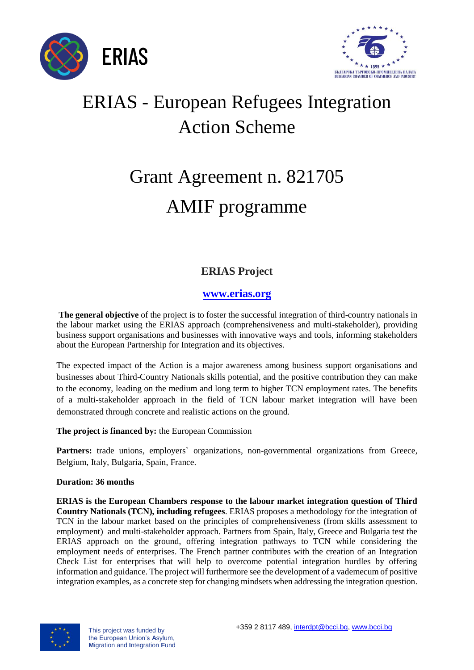



## ERIAS - European Refugees Integration Action Scheme

# Grant Agreement n. 821705 AMIF programme

### **ERIAS Project**

#### **[www.erias.org](http://www.erias.org/)**

**The general objective** of the project is to foster the successful integration of third-country nationals in the labour market using the ERIAS approach (comprehensiveness and multi-stakeholder), providing business support organisations and businesses with innovative ways and tools, informing stakeholders about the European Partnership for Integration and its objectives.

The expected impact of the Action is a major awareness among business support organisations and businesses about Third-Country Nationals skills potential, and the positive contribution they can make to the economy, leading on the medium and long term to higher TCN employment rates. The benefits of a multi-stakeholder approach in the field of TCN labour market integration will have been demonstrated through concrete and realistic actions on the ground.

#### **The project is financed by:** the European Commission

**Partners:** trade unions, employers' organizations, non-governmental organizations from Greece, Belgium, Italy, Bulgaria, Spain, France.

#### **Duration: 36 months**

**ERIAS is the European Chambers response to the labour market integration question of Third Country Nationals (TCN), including refugees**. ERIAS proposes a methodology for the integration of TCN in the labour market based on the principles of comprehensiveness (from skills assessment to employment) and multi-stakeholder approach. Partners from Spain, Italy, Greece and Bulgaria test the ERIAS approach on the ground, offering integration pathways to TCN while considering the employment needs of enterprises. The French partner contributes with the creation of an Integration Check List for enterprises that will help to overcome potential integration hurdles by offering information and guidance. The project will furthermore see the development of a vademecum of positive integration examples, as a concrete step for changing mindsets when addressing the integration question.